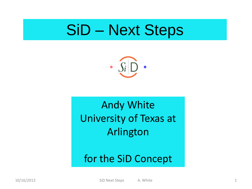### SiD – Next Steps



#### Andy White University of Texas at Arlington

#### for the SiD Concept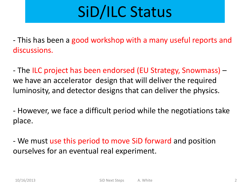# SiD/ILC Status

- This has been a good workshop with a many useful reports and discussions.

- The ILC project has been endorsed (EU Strategy, Snowmass) – we have an accelerator design that will deliver the required luminosity, and detector designs that can deliver the physics.

- However, we face a difficult period while the negotiations take place.

- We must use this period to move SiD forward and position ourselves for an eventual real experiment.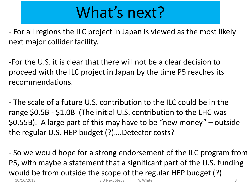# What's next?

- For all regions the ILC project in Japan is viewed as the most likely next major collider facility.

-For the U.S. it is clear that there will not be a clear decision to proceed with the ILC project in Japan by the time P5 reaches its recommendations.

- The scale of a future U.S. contribution to the ILC could be in the range \$0.5B - \$1.0B (The initial U.S. contribution to the LHC was \$0.55B). A large part of this may have to be "new money" – outside the regular U.S. HEP budget (?)….Detector costs?

10/16/2013 SiD Next Steps A. White 3 - So we would hope for a strong endorsement of the ILC program from P5, with maybe a statement that a significant part of the U.S. funding would be from outside the scope of the regular HEP budget (?)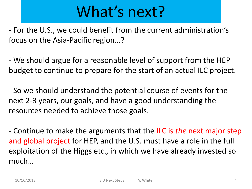## What's next?

- For the U.S., we could benefit from the current administration's focus on the Asia-Pacific region…?

- We should argue for a reasonable level of support from the HEP budget to continue to prepare for the start of an actual ILC project.

- So we should understand the potential course of events for the next 2-3 years, our goals, and have a good understanding the resources needed to achieve those goals.

- Continue to make the arguments that the ILC is *the* next major step and global project for HEP, and the U.S. must have a role in the full exploitation of the Higgs etc., in which we have already invested so much…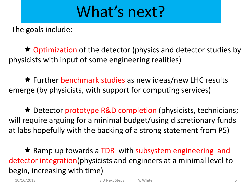### What's next?

-The goals include:

 $\star$  Optimization of the detector (physics and detector studies by physicists with input of some engineering realities)

**★** Further benchmark studies as new ideas/new LHC results emerge (by physicists, with support for computing services)

**★ Detector prototype R&D completion (physicists, technicians;** will require arguing for a minimal budget/using discretionary funds at labs hopefully with the backing of a strong statement from P5)

 $\star$  Ramp up towards a TDR with subsystem engineering and detector integration(physicists and engineers at a minimal level to begin, increasing with time)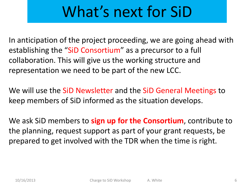## What's next for SiD

In anticipation of the project proceeding, we are going ahead with establishing the "SiD Consortium" as a precursor to a full collaboration. This will give us the working structure and representation we need to be part of the new LCC.

We will use the SiD Newsletter and the SiD General Meetings to keep members of SiD informed as the situation develops.

We ask SiD members to **sign up for the Consortium**, contribute to the planning, request support as part of your grant requests, be prepared to get involved with the TDR when the time is right.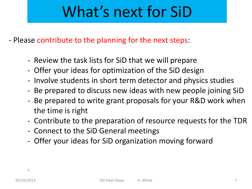# What's next for SiD

- Please contribute to the planning for the next steps:

- Review the task lists for SiD that we will prepare
- Offer your ideas for optimization of the SiD design
- Involve students in short term detector and physics studies
- Be prepared to discuss new ideas with new people joining SiD
- Be prepared to write grant proposals for your R&D work when the time is right
- Contribute to the preparation of resource requests for the TDR
- Connect to the SiD General meetings
- Offer your ideas for SiD organization moving forward

 $\sim$  -  $\sim$